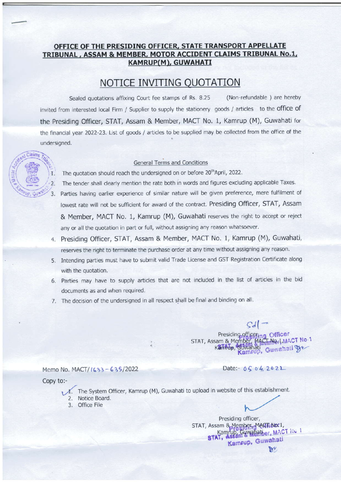## OFFICE OF THE PRESIDING OFFICER. STATE TRANSPORT APPELLATE TRIBUNAL , ASSAM & MEMBER. MOTOR ACCIDENT CLAIMS TRIBUNAL NO.1, KAMRUP(M), GUWAHATI

## NOTICE INVITING OUOTATION

Sealed quotations affixing Court fee stamps of Rs. 8.25 (Non-refundable) are hereby invited from interested local Firm / Supplier to supply the stationery goods / articles to the office of the Presiding officer, STAT, Assam & Member, MACT No. 1, Kamrup (M), Guwahati for the financial year 2022 23. List of goods / articles to be supplied may be collected from the office of the undersigned.

## General Terms and Conditions

- $t$ ; The quotation should reach the undersigned on or before 20<sup>th</sup>April, 2022.
	- 1. The quotation should reach the undersigned on or before 20 "April, 2022.<br>2. The tender shall clearly mention the rate both in words and figures excluding applicable Taxes.
	- 3. Parties having earlier experience of similar nature will be given preference, mere fulfilment of lowest rate will not be sufficient for award of the contract. Presiding Officer, STAT, Assam & Member, MACT No. 1, Kamrup (M), Guwahati reserves the right to accept or reject any or all the quotation in part or full, without assigning any reason whatsoever.
	- 4. Presiding Officer, STAT, Assam & Member, MACT No. 1, Kamrup (M), Guwahati, reserves the right to terminate the purchase order at any time without assigning any reason
	- 5. Intending parties must have to submit valid Trade License and GST Registration Certificate along with the quotation.
	- 6. Parties may have to supply articles that are not included in the list of articles in the bid documents as and when required.
	- 7. The decision of the undersigned in all respect shall be final and binding on all.

 $\mathcal{G}d$   $\rightarrow$ <br>Presiding officer STAT, Assam & Member, MACHANed, MACT No. 1<br>Kanfindp, Guwahati, Guwahati Gre

Date:-  $0504202$ 

Memo No. MACT/ (633 - 635/2022)

Copy to:-

- $\Lambda$ . The System Officer, Kamrup (M), Guwahati to upload in website of this establishment. 2. Notice Board.
- 3. Office Flle

Presiding officer, STAT, Assam & Megine Havid L. '" Kamrup, Guwahati